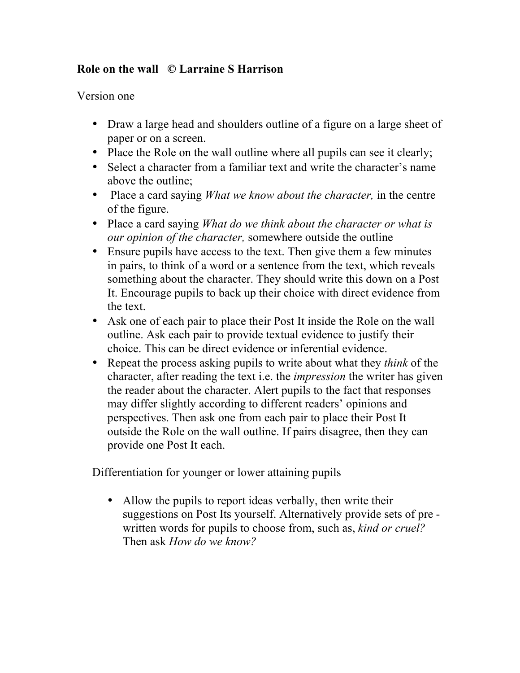# **Role on the wall © Larraine S Harrison**

Version one

- Draw a large head and shoulders outline of a figure on a large sheet of paper or on a screen.
- Place the Role on the wall outline where all pupils can see it clearly;
- Select a character from a familiar text and write the character's name above the outline;
- Place a card saying *What we know about the character,* in the centre of the figure.
- Place a card saying *What do we think about the character or what is our opinion of the character,* somewhere outside the outline
- Ensure pupils have access to the text. Then give them a few minutes in pairs, to think of a word or a sentence from the text, which reveals something about the character. They should write this down on a Post It. Encourage pupils to back up their choice with direct evidence from the text.
- Ask one of each pair to place their Post It inside the Role on the wall outline. Ask each pair to provide textual evidence to justify their choice. This can be direct evidence or inferential evidence.
- Repeat the process asking pupils to write about what they *think* of the character, after reading the text i.e. the *impression* the writer has given the reader about the character. Alert pupils to the fact that responses may differ slightly according to different readers' opinions and perspectives. Then ask one from each pair to place their Post It outside the Role on the wall outline. If pairs disagree, then they can provide one Post It each.

Differentiation for younger or lower attaining pupils

• Allow the pupils to report ideas verbally, then write their suggestions on Post Its yourself. Alternatively provide sets of pre written words for pupils to choose from, such as, *kind or cruel?*  Then ask *How do we know?*